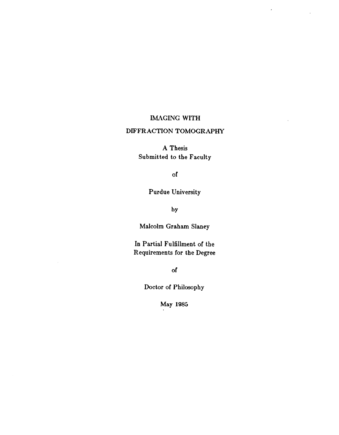#### IMAGING WITH

 $\hat{\mathbf{r}}$ 

## DIFFRACTION TOMOGRAPHY

A Thesis Submitted to the Faculty

of

## Purdue University

by

Malcolm Graham Slaney

In Partial Fulfillment of the Requirements for the Degree

of

Doctor of Philosophy

May 1985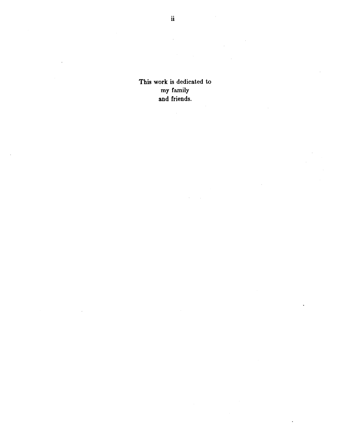This work is dedicated to my family and friends.

 $\ddot{\phantom{a}}$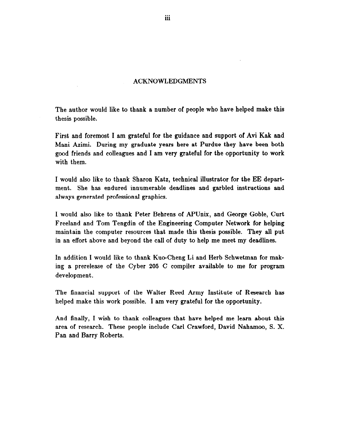#### ACKNOWLEDGMENTS

The author would like to thank a number of people who have helped make this thesis possible.

First and foremost I am grateful for the guidance and support of Avi Kak and Mani Azimi. During my graduate years here at Purdue they have been both good friends and colleagues and I am very grateful for the opportunity to work with them.

I would also like to thank Sharon Katz, technical illustrator for the EE department. She has endured innumerable deadlines and garbled instructions and always generated professional graphics.

I would also like to thank Peter Behrens of APUnix, and George Goble, Curt Freeland and Tom Tengdin of the Engineering Computer Network for helping maintain the computer resources that made this thesis possible. They all put in an effort above and beyond the call of duty to help me meet my deadlines.

In addition I would like to thank Kuo-Cheng Li and Herb Schwetman for making a prerelease of the Cyber 205 C compiler available to me for program development.

The financial support of the Walter Reed Army Institute of Research has helped make this work possible. I am very grateful for the opportunity.

And finally, I wish to thank colleagues that have helped me learn about this area of research. These people include Carl Crawford, David Nahamoo, S. X. Pan and Barry Roberts.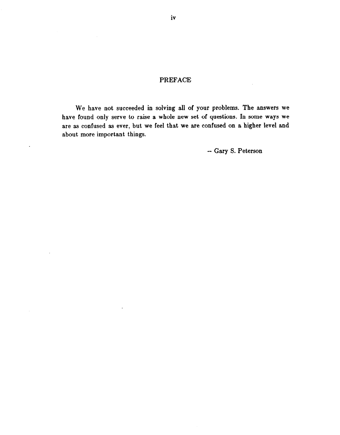## PREFACE

We have not succeeded in solving all of your problems. The answers we have found only serve to raise a whole new set of questions. In some ways we are as confused as ever, but we feel that we are confused on a higher level and about more important things.

 $\ddot{\phantom{a}}$ 

 $\ddot{\phantom{a}}$ 

 $\sim 10^7$ 

 $\epsilon$ 

- Gary S. Peterson

 $\hat{\mathcal{L}}$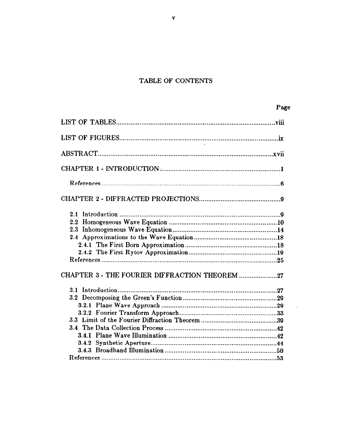# TABLE OF CONTENTS

 $\hat{\mathcal{A}}$ 

| CHAPTER 3 - THE FOURIER DIFFRACTION THEOREM 27 |  |
|------------------------------------------------|--|
|                                                |  |
|                                                |  |
|                                                |  |
|                                                |  |
|                                                |  |
|                                                |  |
|                                                |  |
|                                                |  |
|                                                |  |
|                                                |  |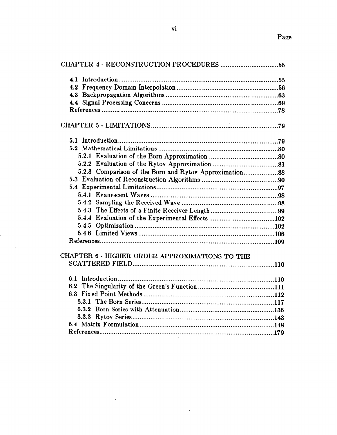| CHAPTER 6 - HIGHER ORDER APPROXIMATIONS TO THE |  |
|------------------------------------------------|--|
|                                                |  |
|                                                |  |
|                                                |  |
|                                                |  |
|                                                |  |
|                                                |  |
|                                                |  |
|                                                |  |
|                                                |  |

 $\bar{z}$ 

 $\sim$ 

 $\mathcal{A}^{\mathcal{A}}$ 

 $\bar{z}$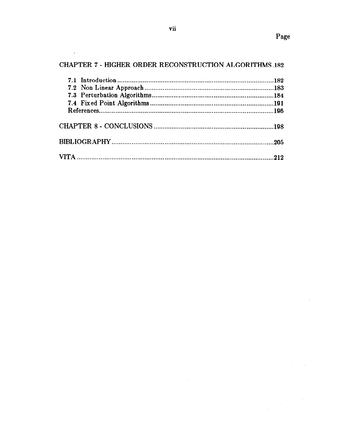$\bar{\bar{z}}$ 

# CHAPTER 7 - HIGHER ORDER RECONSTRUCTION ALGORITHMS.182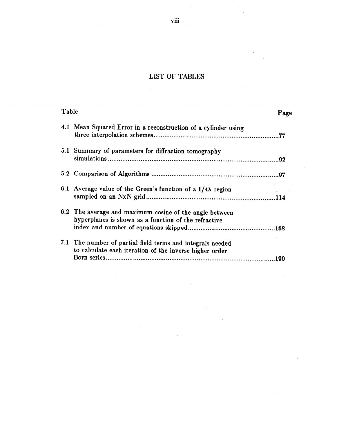# LIST OF TABLES

 $\frac{1}{2}$ 

| Table |                                                                                                                       | Page |
|-------|-----------------------------------------------------------------------------------------------------------------------|------|
|       | 4.1 Mean Squared Error in a reconstruction of a cylinder using                                                        |      |
|       | 5.1 Summary of parameters for diffraction tomography                                                                  |      |
|       |                                                                                                                       |      |
|       | 6.1 Average value of the Green's function of a $1/4\lambda$ region                                                    |      |
|       | 6.2 The average and maximum cosine of the angle between<br>hyperplanes is shown as a function of the refractive       |      |
|       | 7.1 The number of partial field terms and integrals needed<br>to calculate each iteration of the inverse higher order |      |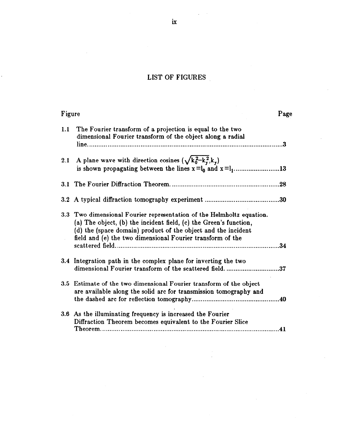# LIST OF FIGURES

| Figure |                                                                                                                                                                                                                                                                           | Page |
|--------|---------------------------------------------------------------------------------------------------------------------------------------------------------------------------------------------------------------------------------------------------------------------------|------|
| 1.1    | The Fourier transform of a projection is equal to the two<br>dimensional Fourier transform of the object along a radial                                                                                                                                                   |      |
|        | 2.1 A plane wave with direction cosines $(\sqrt{k_0^2-k_v^2},k_v)$                                                                                                                                                                                                        |      |
|        |                                                                                                                                                                                                                                                                           |      |
|        |                                                                                                                                                                                                                                                                           |      |
|        | 3.3 Two dimensional Fourier representation of the Helmholtz equation.<br>(a) The object, (b) the incident field, (c) the Green's function,<br>(d) the (space domain) product of the object and the incident<br>field and (e) the two dimensional Fourier transform of the |      |
|        | 3.4 Integration path in the complex plane for inverting the two<br>dimensional Fourier transform of the scattered field. 37                                                                                                                                               |      |
|        | 3.5 Estimate of the two dimensional Fourier transform of the object<br>are available along the solid arc for transmission tomography and                                                                                                                                  |      |
|        | 3.6 As the illuminating frequency is increased the Fourier<br>Diffraction Theorem becomes equivalent to the Fourier Slice                                                                                                                                                 | .41  |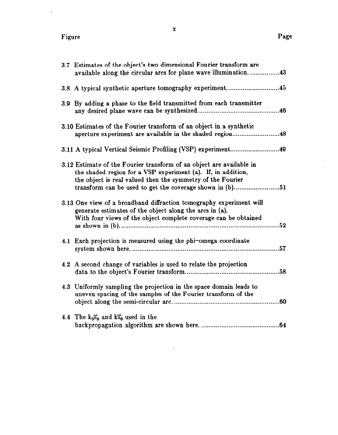| 3.7 Estimates of the object's two dimensional Fourier transform are                                                                                                                                |
|----------------------------------------------------------------------------------------------------------------------------------------------------------------------------------------------------|
| available along the circular arcs for plane wave illumination43                                                                                                                                    |
| 3.8 A typical synthetic aperture tomography experiment45                                                                                                                                           |
| 3.9 By adding a phase to the field transmitted from each transmitter                                                                                                                               |
| 3.10 Estimates of the Fourier transform of an object in a synthetic<br>aperture experiment are available in the shaded region48                                                                    |
|                                                                                                                                                                                                    |
| 3.12 Estimate of the Fourier transform of an object are available in<br>the shaded region for a VSP experiment (a). If, in addition,<br>the object is real valued then the symmetry of the Fourier |
| 3.13 One view of a broadband diffraction tomography experiment will<br>generate estimates of the object along the arcs in (a).<br>With four views of the object complete coverage can be obtained  |
| 4.1 Each projection is measured using the phi-omega coordinate                                                                                                                                     |
| 4.2 A second change of variables is used to relate the projection<br>.58                                                                                                                           |
| 4.3 Uniformly sampling the projection in the space domain leads to<br>uneven spacing of the samples of the Fourier transform of the                                                                |
| 4.4 The $k_0\bar{s}_0$ and $k\bar{s}_0$ used in the                                                                                                                                                |

 $\ddot{\phantom{a}}$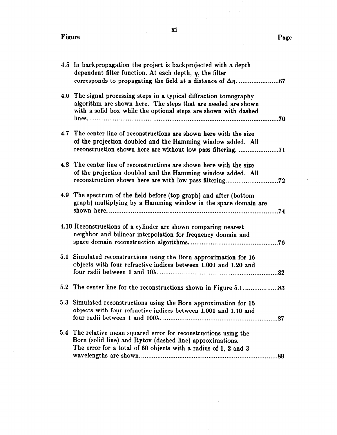| 4.5 In backpropagation the project is backprojected with a depth<br>dependent filter function. At each depth, $\eta$ , the filter                                                                              |
|----------------------------------------------------------------------------------------------------------------------------------------------------------------------------------------------------------------|
| 4.6 The signal processing steps in a typical diffraction tomography<br>algorithm are shown here. The steps that are needed are shown<br>with a solid box while the optional steps are shown with dashed<br>.70 |
| 4.7 The center line of reconstructions are shown here with the size<br>of the projection doubled and the Hamming window added. All<br>reconstruction shown here are without low pass filtering. 71             |
| 4.8 The center line of reconstructions are shown here with the size<br>of the projection doubled and the Hamming window added. All<br>reconstruction shown here are with low pass filtering<br>.72             |
| 4.9 The spectrum of the field before (top graph) and after (bottom<br>graph) multiplying by a Hamming window in the space domain are<br>.74                                                                    |
| 4.10 Reconstructions of a cylinder are shown comparing nearest<br>neighbor and bilinear interpolation for frequency domain and<br>.76                                                                          |
| 5.1 Simulated reconstructions using the Born approximation for 16<br>objects with four refractive indices between 1.001 and 1.20 and                                                                           |
|                                                                                                                                                                                                                |
| 5.3 Simulated reconstructions using the Born approximation for 16<br>objects with four refractive indices between 1.001 and 1.10 and                                                                           |
| 5.4 The relative mean squared error for reconstructions using the<br>Born (solid line) and Rytov (dashed line) approximations.<br>The error for a total of 60 objects with a radius of 1, 2 and 3              |

xi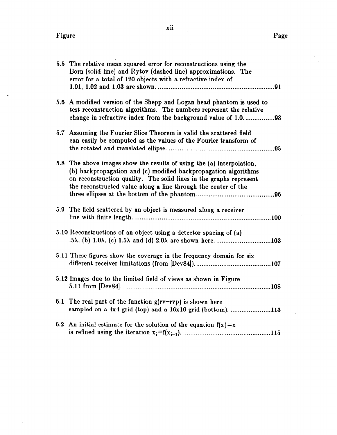$\mathbb{Z}$ 

| 5.5 The relative mean squared error for reconstructions using the<br>Born (solid line) and Rytov (dashed line) approximations. The<br>error for a total of 120 objects with a refractive index of                                                                                |  |
|----------------------------------------------------------------------------------------------------------------------------------------------------------------------------------------------------------------------------------------------------------------------------------|--|
| 5.6 A modified version of the Shepp and Logan head phantom is used to<br>test reconstruction algorithms. The numbers represent the relative<br>change in refractive index from the background value of 1.093                                                                     |  |
| 5.7 Assuming the Fourier Slice Theorem is valid the scattered field<br>can easily be computed as the values of the Fourier transform of                                                                                                                                          |  |
| 5.8 The above images show the results of using the (a) interpolation,<br>(b) backpropagation and (c) modified backpropagation algorithms<br>on reconstruction quality. The solid lines in the graphs represent<br>the reconstructed value along a line through the center of the |  |
| 5.9 The field scattered by an object is measured along a receiver                                                                                                                                                                                                                |  |
| 5.10 Reconstructions of an object using a detector spacing of (a)                                                                                                                                                                                                                |  |
| 5.11 These figures show the coverage in the frequency domain for six                                                                                                                                                                                                             |  |
| 5.12 Images due to the limited field of views as shown in Figure                                                                                                                                                                                                                 |  |
| 6.1 The real part of the function $g(rv-rvp)$ is shown here<br>sampled on a 4x4 grid (top) and a 16x16 grid (bottom). 113                                                                                                                                                        |  |
| 6.2 An initial estimate for the solution of the equation $f(x)=x$                                                                                                                                                                                                                |  |

 $\bar{z}$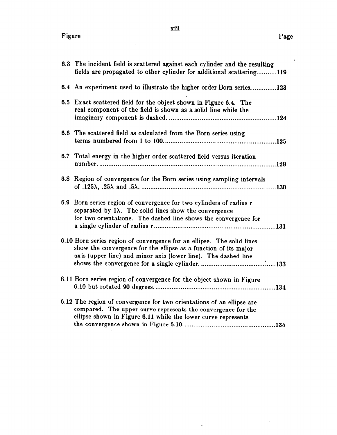$\bar{z}$ 

| 6.3 The incident field is scattered against each cylinder and the resulting<br>fields are propagated to other cylinder for additional scattering119                                                             |
|-----------------------------------------------------------------------------------------------------------------------------------------------------------------------------------------------------------------|
| 6.4 An experiment used to illustrate the higher order Born series123                                                                                                                                            |
| 6.5 Exact scattered field for the object shown in Figure 6.4. The<br>real component of the field is shown as a solid line while the                                                                             |
| 6.6 The scattered field as calculated from the Born series using                                                                                                                                                |
| 6.7 Total energy in the higher order scattered field versus iteration                                                                                                                                           |
| 6.8 Region of convergence for the Born series using sampling intervals                                                                                                                                          |
| 6.9 Born series region of convergence for two cylinders of radius r<br>separated by $1\lambda$ . The solid lines show the convergence<br>for two orientations. The dashed line shows the convergence for        |
| 6.10 Born series region of convergence for an ellipse. The solid lines<br>show the convergence for the ellipse as a function of its major<br>axis (upper line) and minor axis (lower line). The dashed line     |
| 6.11 Born series region of convergence for the object shown in Figure                                                                                                                                           |
| 6.12 The region of convergence for two orientations of an ellipse are<br>compared. The upper curve represents the convergence for the<br>ellipse shown in Figure 6.11 while the lower curve represents<br>.135. |

 $\langle \rangle$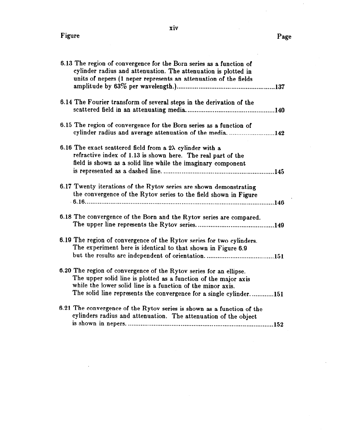l,

l,

| 6.13 The region of convergence for the Born series as a function of<br>cylinder radius and attenuation. The attenuation is plotted in<br>units of nepers (1 neper represents an attenuation of the fields                                                                  |
|----------------------------------------------------------------------------------------------------------------------------------------------------------------------------------------------------------------------------------------------------------------------------|
| 6.14 The Fourier transform of several steps in the derivation of the                                                                                                                                                                                                       |
| 6.15 The region of convergence for the Born series as a function of<br>cylinder radius and average attenuation of the media142                                                                                                                                             |
| 6.16 The exact scattered field from a $2\lambda$ cylinder with a<br>refractive index of 1.13 is shown here. The real part of the<br>field is shown as a solid line while the imaginary component                                                                           |
| 6.17 Twenty iterations of the Rytov series are shown demonstrating<br>the convergence of the Rytov series to the field shown in Figure                                                                                                                                     |
| 6.18 The convergence of the Born and the Rytov series are compared.                                                                                                                                                                                                        |
| 6.19 The region of convergence of the Rytov series for two cylinders.<br>The experiment here is identical to that shown in Figure 6.9                                                                                                                                      |
| 6.20 The region of convergence of the Rytov series for an ellipse.<br>The upper solid line is plotted as a function of the major axis<br>while the lower solid line is a function of the minor axis.<br>The solid line represents the convergence for a single cylinder151 |
| 6.21 The convergence of the Rytov series is shown as a function of the<br>cylinders radius and attenuation. The attenuation of the object                                                                                                                                  |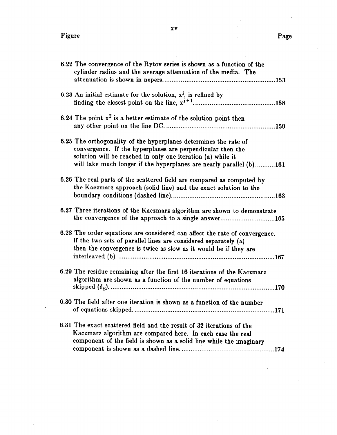$\ddot{\phantom{a}}$ 

 $\ddot{\phantom{0}}$ 

L.

| 6.22 The convergence of the Rytov series is shown as a function of the<br>cylinder radius and the average attenuation of the media. The                                                                                                                              |
|----------------------------------------------------------------------------------------------------------------------------------------------------------------------------------------------------------------------------------------------------------------------|
| 6.23 An initial estimate for the solution, $x^j$ , is refined by                                                                                                                                                                                                     |
| 6.24 The point $x^2$ is a better estimate of the solution point then                                                                                                                                                                                                 |
| 6.25 The orthogonality of the hyperplanes determines the rate of<br>convergence. If the hyperplanes are perpendicular then the<br>solution will be reached in only one iteration (a) while it<br>will take much longer if the hyperplanes are nearly parallel (b)161 |
| 6.26 The real parts of the scattered field are compared as computed by<br>the Kaczmarz approach (solid line) and the exact solution to the                                                                                                                           |
| 6.27 Three iterations of the Kaczmarz algorithm are shown to demonstrate<br>the convergence of the approach to a single answer165                                                                                                                                    |
| 6.28 The order equations are considered can affect the rate of convergence.<br>If the two sets of parallel lines are considered separately (a)<br>then the convergence is twice as slow as it would be if they are                                                   |
| 6.29 The residue remaining after the first 16 iterations of the Kaczmarz<br>algorithm are shown as a function of the number of equations                                                                                                                             |
| 6.30 The field after one iteration is shown as a function of the number                                                                                                                                                                                              |
| 6.31 The exact scattered field and the result of 32 iterations of the<br>Kaczmarz algorithm are compared here. In each case the real<br>component of the field is shown as a solid line while the imaginary                                                          |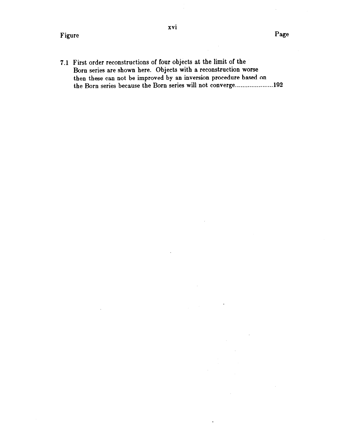the Born series because the Born series will not converge.....................192

xvi